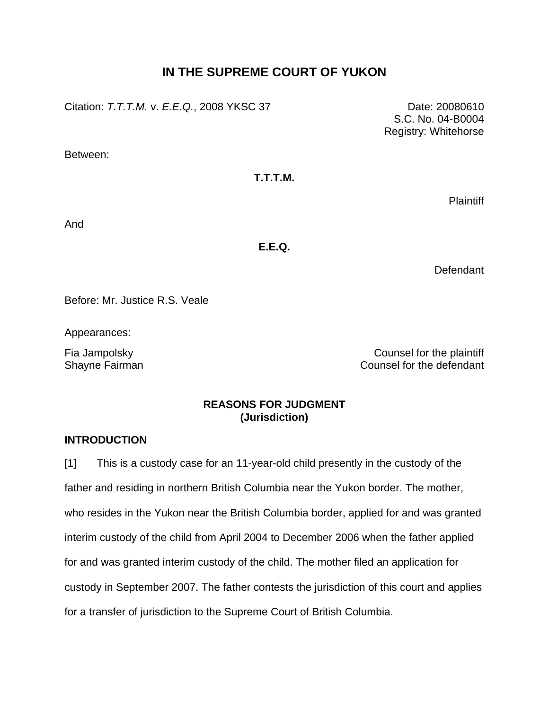# **IN THE SUPREME COURT OF YUKON**

Citation: *T.T.T.M.* v. *E.E.Q.*, 2008 YKSC 37 Date: 20080610

Between:

## **T.T.T.M.**

**Plaintiff** 

And

## **E.E.Q.**

Defendant

Before: Mr. Justice R.S. Veale

Appearances:

Fia Jampolsky Counsel for the plaintiff Shayne Fairman Counsel for the defendant

## **REASONS FOR JUDGMENT (Jurisdiction)**

## **INTRODUCTION**

[1] This is a custody case for an 11-year-old child presently in the custody of the father and residing in northern British Columbia near the Yukon border. The mother, who resides in the Yukon near the British Columbia border, applied for and was granted interim custody of the child from April 2004 to December 2006 when the father applied for and was granted interim custody of the child. The mother filed an application for custody in September 2007. The father contests the jurisdiction of this court and applies for a transfer of jurisdiction to the Supreme Court of British Columbia.

S.C. No. 04-B0004 Registry: Whitehorse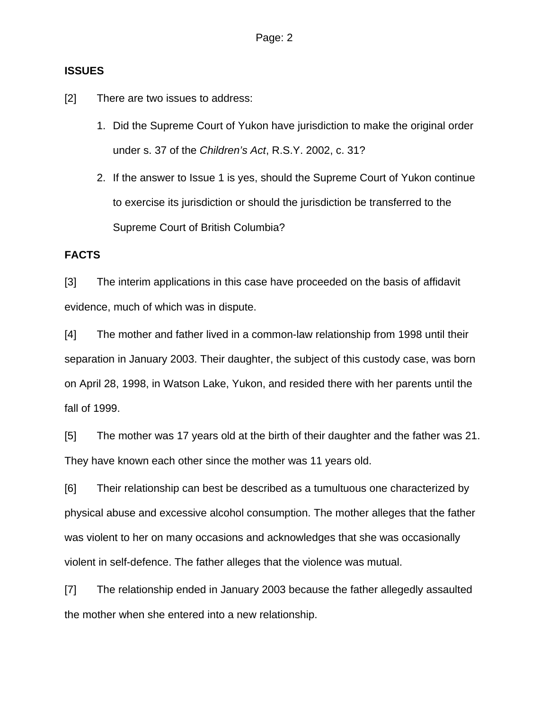## **ISSUES**

[2] There are two issues to address:

- 1. Did the Supreme Court of Yukon have jurisdiction to make the original order under s. 37 of the *Children's Act*, R.S.Y. 2002, c. 31?
- 2. If the answer to Issue 1 is yes, should the Supreme Court of Yukon continue to exercise its jurisdiction or should the jurisdiction be transferred to the Supreme Court of British Columbia?

## **FACTS**

[3] The interim applications in this case have proceeded on the basis of affidavit evidence, much of which was in dispute.

[4] The mother and father lived in a common-law relationship from 1998 until their separation in January 2003. Their daughter, the subject of this custody case, was born on April 28, 1998, in Watson Lake, Yukon, and resided there with her parents until the fall of 1999.

[5] The mother was 17 years old at the birth of their daughter and the father was 21. They have known each other since the mother was 11 years old.

[6] Their relationship can best be described as a tumultuous one characterized by physical abuse and excessive alcohol consumption. The mother alleges that the father was violent to her on many occasions and acknowledges that she was occasionally violent in self-defence. The father alleges that the violence was mutual.

[7] The relationship ended in January 2003 because the father allegedly assaulted the mother when she entered into a new relationship.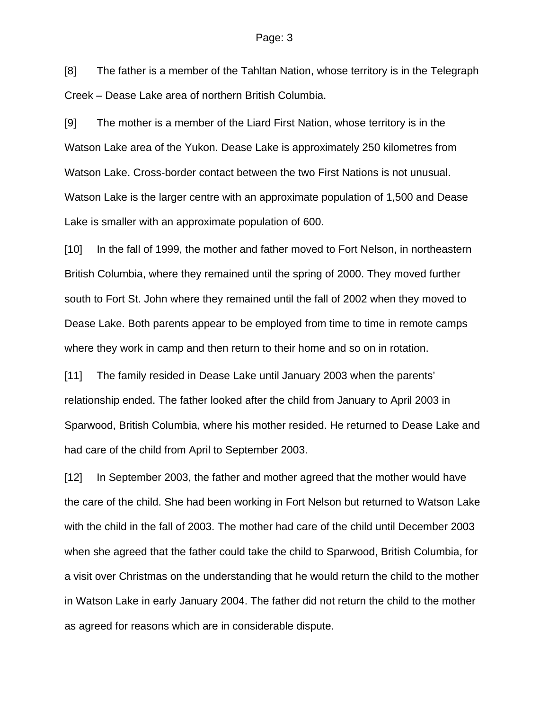[8] The father is a member of the Tahltan Nation, whose territory is in the Telegraph Creek – Dease Lake area of northern British Columbia.

[9] The mother is a member of the Liard First Nation, whose territory is in the Watson Lake area of the Yukon. Dease Lake is approximately 250 kilometres from Watson Lake. Cross-border contact between the two First Nations is not unusual. Watson Lake is the larger centre with an approximate population of 1,500 and Dease Lake is smaller with an approximate population of 600.

[10] In the fall of 1999, the mother and father moved to Fort Nelson, in northeastern British Columbia, where they remained until the spring of 2000. They moved further south to Fort St. John where they remained until the fall of 2002 when they moved to Dease Lake. Both parents appear to be employed from time to time in remote camps where they work in camp and then return to their home and so on in rotation.

[11] The family resided in Dease Lake until January 2003 when the parents' relationship ended. The father looked after the child from January to April 2003 in Sparwood, British Columbia, where his mother resided. He returned to Dease Lake and had care of the child from April to September 2003.

[12] In September 2003, the father and mother agreed that the mother would have the care of the child. She had been working in Fort Nelson but returned to Watson Lake with the child in the fall of 2003. The mother had care of the child until December 2003 when she agreed that the father could take the child to Sparwood, British Columbia, for a visit over Christmas on the understanding that he would return the child to the mother in Watson Lake in early January 2004. The father did not return the child to the mother as agreed for reasons which are in considerable dispute.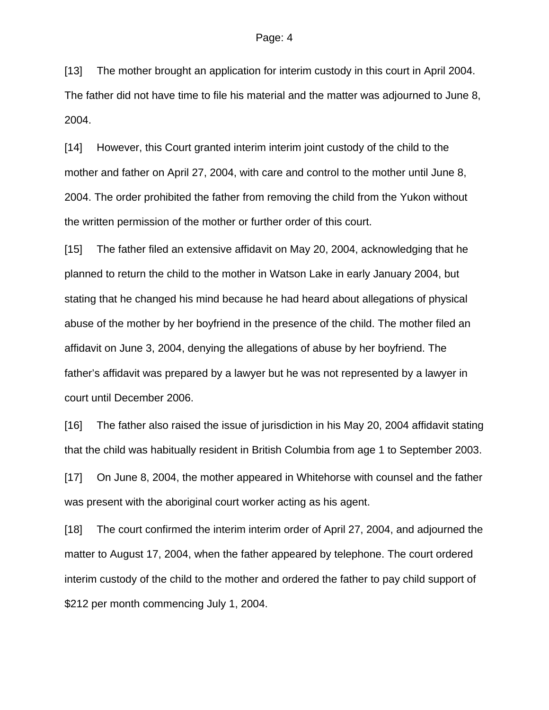[13] The mother brought an application for interim custody in this court in April 2004. The father did not have time to file his material and the matter was adjourned to June 8, 2004.

[14] However, this Court granted interim interim joint custody of the child to the mother and father on April 27, 2004, with care and control to the mother until June 8, 2004. The order prohibited the father from removing the child from the Yukon without the written permission of the mother or further order of this court.

[15] The father filed an extensive affidavit on May 20, 2004, acknowledging that he planned to return the child to the mother in Watson Lake in early January 2004, but stating that he changed his mind because he had heard about allegations of physical abuse of the mother by her boyfriend in the presence of the child. The mother filed an affidavit on June 3, 2004, denying the allegations of abuse by her boyfriend. The father's affidavit was prepared by a lawyer but he was not represented by a lawyer in court until December 2006.

[16] The father also raised the issue of jurisdiction in his May 20, 2004 affidavit stating that the child was habitually resident in British Columbia from age 1 to September 2003.

[17] On June 8, 2004, the mother appeared in Whitehorse with counsel and the father was present with the aboriginal court worker acting as his agent.

[18] The court confirmed the interim interim order of April 27, 2004, and adjourned the matter to August 17, 2004, when the father appeared by telephone. The court ordered interim custody of the child to the mother and ordered the father to pay child support of \$212 per month commencing July 1, 2004.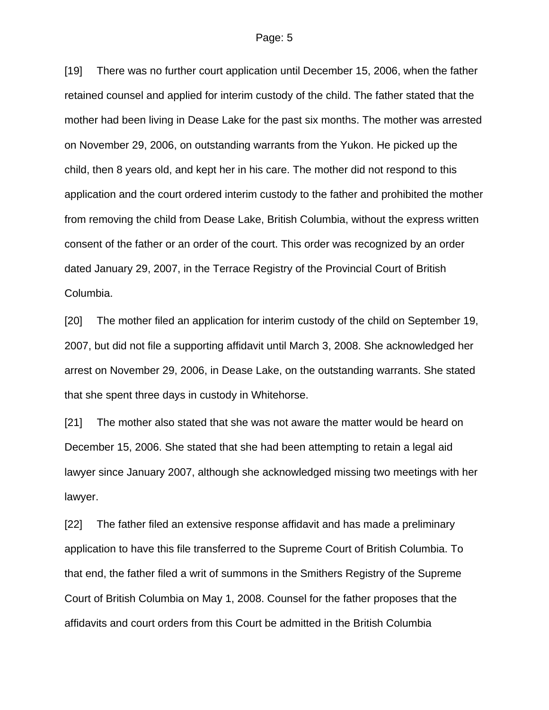[19] There was no further court application until December 15, 2006, when the father retained counsel and applied for interim custody of the child. The father stated that the mother had been living in Dease Lake for the past six months. The mother was arrested on November 29, 2006, on outstanding warrants from the Yukon. He picked up the child, then 8 years old, and kept her in his care. The mother did not respond to this application and the court ordered interim custody to the father and prohibited the mother from removing the child from Dease Lake, British Columbia, without the express written consent of the father or an order of the court. This order was recognized by an order dated January 29, 2007, in the Terrace Registry of the Provincial Court of British Columbia.

[20] The mother filed an application for interim custody of the child on September 19, 2007, but did not file a supporting affidavit until March 3, 2008. She acknowledged her arrest on November 29, 2006, in Dease Lake, on the outstanding warrants. She stated that she spent three days in custody in Whitehorse.

[21] The mother also stated that she was not aware the matter would be heard on December 15, 2006. She stated that she had been attempting to retain a legal aid lawyer since January 2007, although she acknowledged missing two meetings with her lawyer.

[22] The father filed an extensive response affidavit and has made a preliminary application to have this file transferred to the Supreme Court of British Columbia. To that end, the father filed a writ of summons in the Smithers Registry of the Supreme Court of British Columbia on May 1, 2008. Counsel for the father proposes that the affidavits and court orders from this Court be admitted in the British Columbia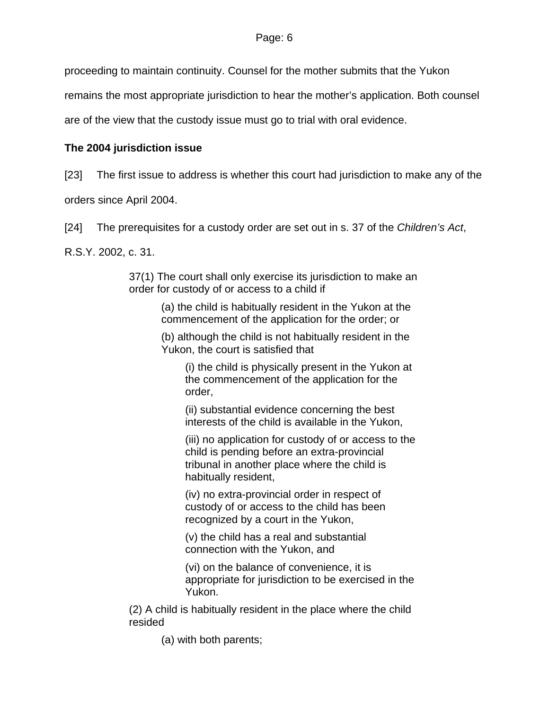proceeding to maintain continuity. Counsel for the mother submits that the Yukon

remains the most appropriate jurisdiction to hear the mother's application. Both counsel

are of the view that the custody issue must go to trial with oral evidence.

# **The 2004 jurisdiction issue**

[23] The first issue to address is whether this court had jurisdiction to make any of the

orders since April 2004.

[24] The prerequisites for a custody order are set out in s. 37 of the *Children's Act*,

R.S.Y. 2002, c. 31.

37(1) The court shall only exercise its jurisdiction to make an order for custody of or access to a child if

> (a) the child is habitually resident in the Yukon at the commencement of the application for the order; or

> (b) although the child is not habitually resident in the Yukon, the court is satisfied that

(i) the child is physically present in the Yukon at the commencement of the application for the order,

(ii) substantial evidence concerning the best interests of the child is available in the Yukon,

(iii) no application for custody of or access to the child is pending before an extra-provincial tribunal in another place where the child is habitually resident,

(iv) no extra-provincial order in respect of custody of or access to the child has been recognized by a court in the Yukon,

(v) the child has a real and substantial connection with the Yukon, and

(vi) on the balance of convenience, it is appropriate for jurisdiction to be exercised in the Yukon.

(2) A child is habitually resident in the place where the child resided

(a) with both parents;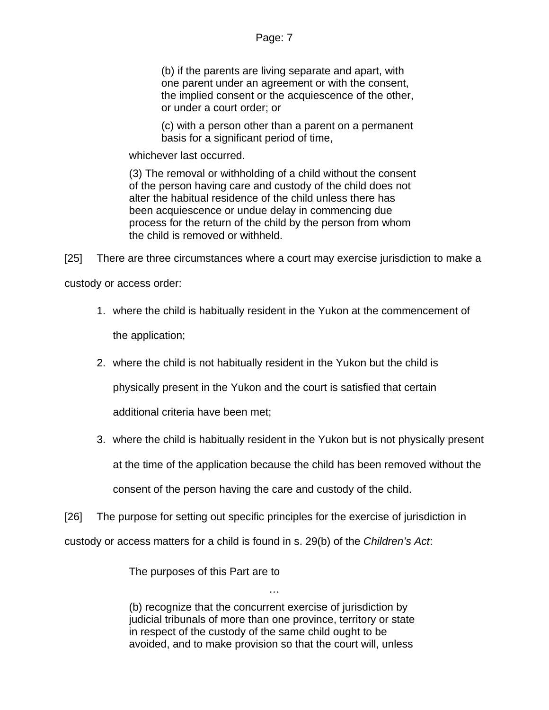## Page: 7

(b) if the parents are living separate and apart, with one parent under an agreement or with the consent, the implied consent or the acquiescence of the other, or under a court order; or

(c) with a person other than a parent on a permanent basis for a significant period of time,

whichever last occurred.

(3) The removal or withholding of a child without the consent of the person having care and custody of the child does not alter the habitual residence of the child unless there has been acquiescence or undue delay in commencing due process for the return of the child by the person from whom the child is removed or withheld.

[25] There are three circumstances where a court may exercise jurisdiction to make a

custody or access order:

- 1. where the child is habitually resident in the Yukon at the commencement of the application;
- 2. where the child is not habitually resident in the Yukon but the child is

physically present in the Yukon and the court is satisfied that certain

additional criteria have been met;

3. where the child is habitually resident in the Yukon but is not physically present at the time of the application because the child has been removed without the consent of the person having the care and custody of the child.

[26] The purpose for setting out specific principles for the exercise of jurisdiction in custody or access matters for a child is found in s. 29(b) of the *Children's Act*:

The purposes of this Part are to

(b) recognize that the concurrent exercise of jurisdiction by judicial tribunals of more than one province, territory or state in respect of the custody of the same child ought to be avoided, and to make provision so that the court will, unless

…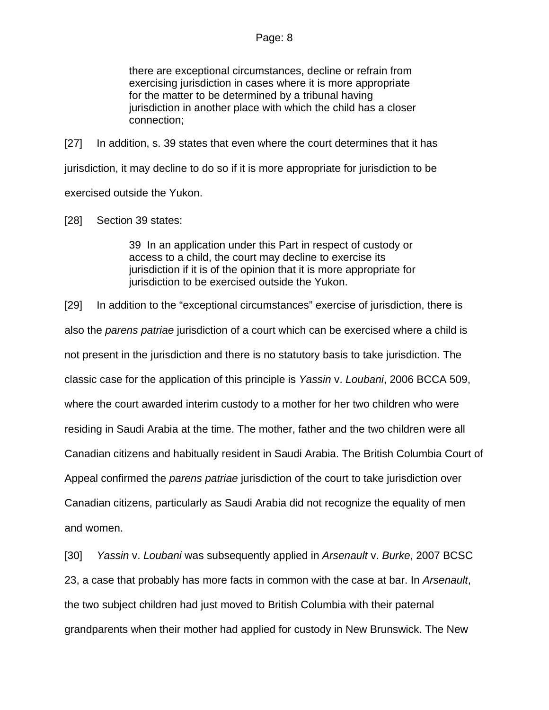there are exceptional circumstances, decline or refrain from exercising jurisdiction in cases where it is more appropriate for the matter to be determined by a tribunal having jurisdiction in another place with which the child has a closer connection;

[27] In addition, s. 39 states that even where the court determines that it has jurisdiction, it may decline to do so if it is more appropriate for jurisdiction to be exercised outside the Yukon.

[28] Section 39 states:

39 In an application under this Part in respect of custody or access to a child, the court may decline to exercise its jurisdiction if it is of the opinion that it is more appropriate for jurisdiction to be exercised outside the Yukon.

[29] In addition to the "exceptional circumstances" exercise of jurisdiction, there is also the *parens patriae* jurisdiction of a court which can be exercised where a child is not present in the jurisdiction and there is no statutory basis to take jurisdiction. The classic case for the application of this principle is *Yassin* v. *Loubani*, 2006 BCCA 509, where the court awarded interim custody to a mother for her two children who were residing in Saudi Arabia at the time. The mother, father and the two children were all Canadian citizens and habitually resident in Saudi Arabia. The British Columbia Court of Appeal confirmed the *parens patriae* jurisdiction of the court to take jurisdiction over Canadian citizens, particularly as Saudi Arabia did not recognize the equality of men and women.

[30] *Yassin* v. *Loubani* was subsequently applied in *Arsenault* v. *Burke*, 2007 BCSC 23, a case that probably has more facts in common with the case at bar. In *Arsenault*, the two subject children had just moved to British Columbia with their paternal grandparents when their mother had applied for custody in New Brunswick. The New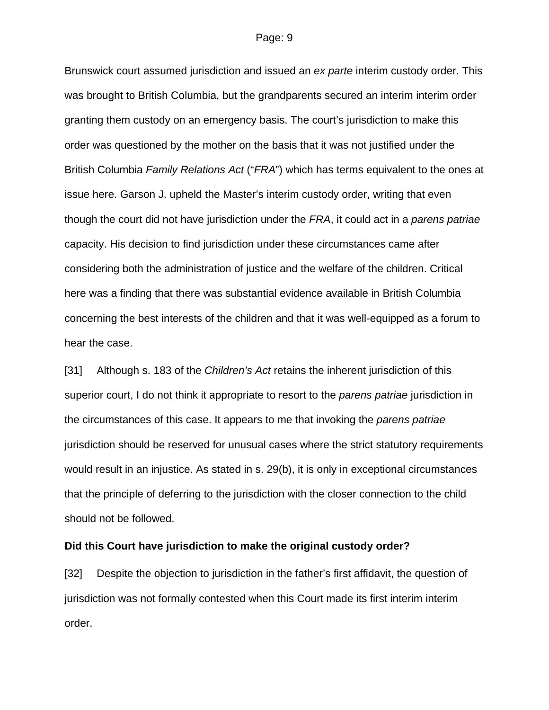Brunswick court assumed jurisdiction and issued an *ex parte* interim custody order. This was brought to British Columbia, but the grandparents secured an interim interim order granting them custody on an emergency basis. The court's jurisdiction to make this order was questioned by the mother on the basis that it was not justified under the British Columbia *Family Relations Act* ("*FRA*") which has terms equivalent to the ones at issue here. Garson J. upheld the Master's interim custody order, writing that even though the court did not have jurisdiction under the *FRA*, it could act in a *parens patriae* capacity. His decision to find jurisdiction under these circumstances came after considering both the administration of justice and the welfare of the children. Critical here was a finding that there was substantial evidence available in British Columbia concerning the best interests of the children and that it was well-equipped as a forum to hear the case.

[31] Although s. 183 of the *Children's Act* retains the inherent jurisdiction of this superior court, I do not think it appropriate to resort to the *parens patriae* jurisdiction in the circumstances of this case. It appears to me that invoking the *parens patriae* jurisdiction should be reserved for unusual cases where the strict statutory requirements would result in an injustice. As stated in s. 29(b), it is only in exceptional circumstances that the principle of deferring to the jurisdiction with the closer connection to the child should not be followed.

#### **Did this Court have jurisdiction to make the original custody order?**

[32] Despite the objection to jurisdiction in the father's first affidavit, the question of jurisdiction was not formally contested when this Court made its first interim interim order.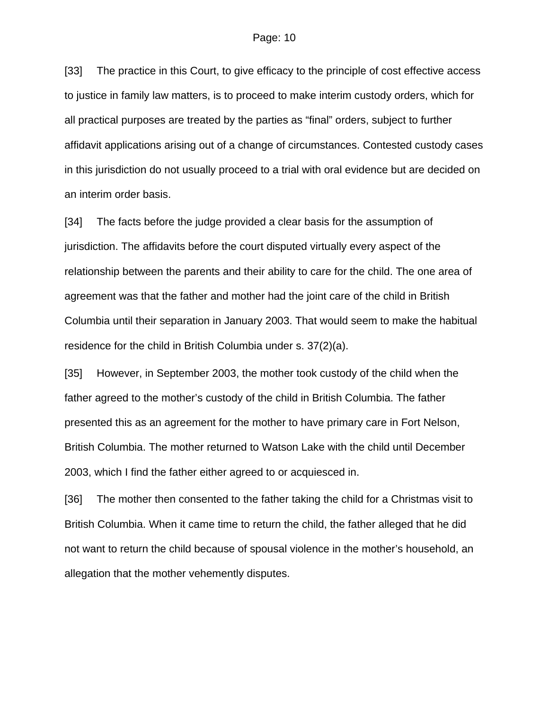[33] The practice in this Court, to give efficacy to the principle of cost effective access to justice in family law matters, is to proceed to make interim custody orders, which for all practical purposes are treated by the parties as "final" orders, subject to further affidavit applications arising out of a change of circumstances. Contested custody cases in this jurisdiction do not usually proceed to a trial with oral evidence but are decided on an interim order basis.

[34] The facts before the judge provided a clear basis for the assumption of jurisdiction. The affidavits before the court disputed virtually every aspect of the relationship between the parents and their ability to care for the child. The one area of agreement was that the father and mother had the joint care of the child in British Columbia until their separation in January 2003. That would seem to make the habitual residence for the child in British Columbia under s. 37(2)(a).

[35] However, in September 2003, the mother took custody of the child when the father agreed to the mother's custody of the child in British Columbia. The father presented this as an agreement for the mother to have primary care in Fort Nelson, British Columbia. The mother returned to Watson Lake with the child until December 2003, which I find the father either agreed to or acquiesced in.

[36] The mother then consented to the father taking the child for a Christmas visit to British Columbia. When it came time to return the child, the father alleged that he did not want to return the child because of spousal violence in the mother's household, an allegation that the mother vehemently disputes.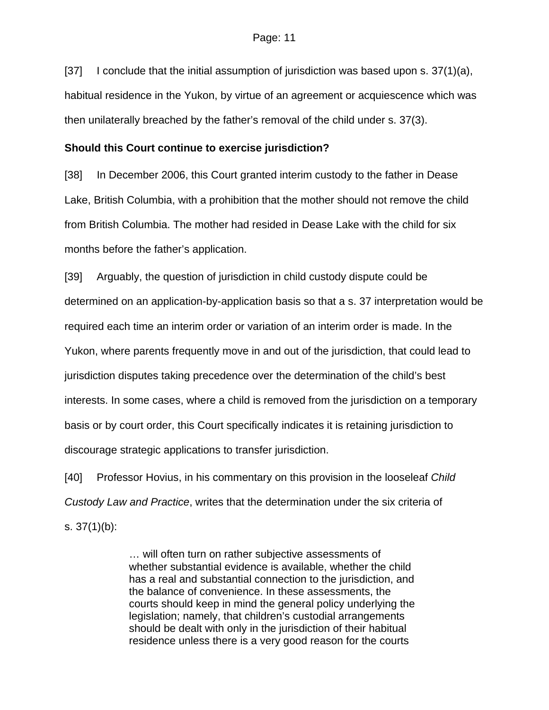[37] I conclude that the initial assumption of jurisdiction was based upon s.  $37(1)(a)$ , habitual residence in the Yukon, by virtue of an agreement or acquiescence which was then unilaterally breached by the father's removal of the child under s. 37(3).

## **Should this Court continue to exercise jurisdiction?**

[38] In December 2006, this Court granted interim custody to the father in Dease Lake, British Columbia, with a prohibition that the mother should not remove the child from British Columbia. The mother had resided in Dease Lake with the child for six months before the father's application.

[39] Arguably, the question of jurisdiction in child custody dispute could be determined on an application-by-application basis so that a s. 37 interpretation would be required each time an interim order or variation of an interim order is made. In the Yukon, where parents frequently move in and out of the jurisdiction, that could lead to jurisdiction disputes taking precedence over the determination of the child's best interests. In some cases, where a child is removed from the jurisdiction on a temporary basis or by court order, this Court specifically indicates it is retaining jurisdiction to discourage strategic applications to transfer jurisdiction.

[40] Professor Hovius, in his commentary on this provision in the looseleaf *Child Custody Law and Practice*, writes that the determination under the six criteria of s. 37(1)(b):

> … will often turn on rather subjective assessments of whether substantial evidence is available, whether the child has a real and substantial connection to the jurisdiction, and the balance of convenience. In these assessments, the courts should keep in mind the general policy underlying the legislation; namely, that children's custodial arrangements should be dealt with only in the jurisdiction of their habitual residence unless there is a very good reason for the courts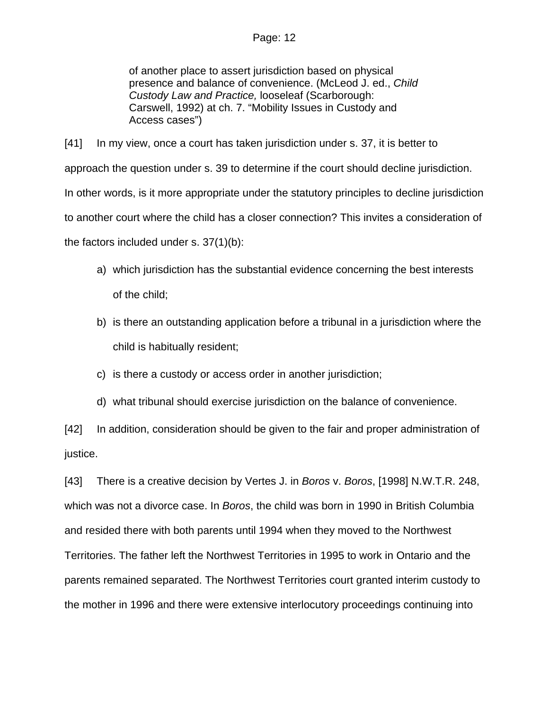## Page: 12

of another place to assert jurisdiction based on physical presence and balance of convenience. (McLeod J. ed., *Child Custody Law and Practice,* looseleaf (Scarborough: Carswell, 1992) at ch. 7. "Mobility Issues in Custody and Access cases")

[41] In my view, once a court has taken jurisdiction under s. 37, it is better to approach the question under s. 39 to determine if the court should decline jurisdiction. In other words, is it more appropriate under the statutory principles to decline jurisdiction to another court where the child has a closer connection? This invites a consideration of the factors included under s. 37(1)(b):

- a) which jurisdiction has the substantial evidence concerning the best interests of the child;
- b) is there an outstanding application before a tribunal in a jurisdiction where the child is habitually resident;
- c) is there a custody or access order in another jurisdiction;
- d) what tribunal should exercise jurisdiction on the balance of convenience.

[42] In addition, consideration should be given to the fair and proper administration of justice.

[43] There is a creative decision by Vertes J. in *Boros* v. *Boros*, [1998] N.W.T.R. 248, which was not a divorce case. In *Boros*, the child was born in 1990 in British Columbia and resided there with both parents until 1994 when they moved to the Northwest Territories. The father left the Northwest Territories in 1995 to work in Ontario and the parents remained separated. The Northwest Territories court granted interim custody to the mother in 1996 and there were extensive interlocutory proceedings continuing into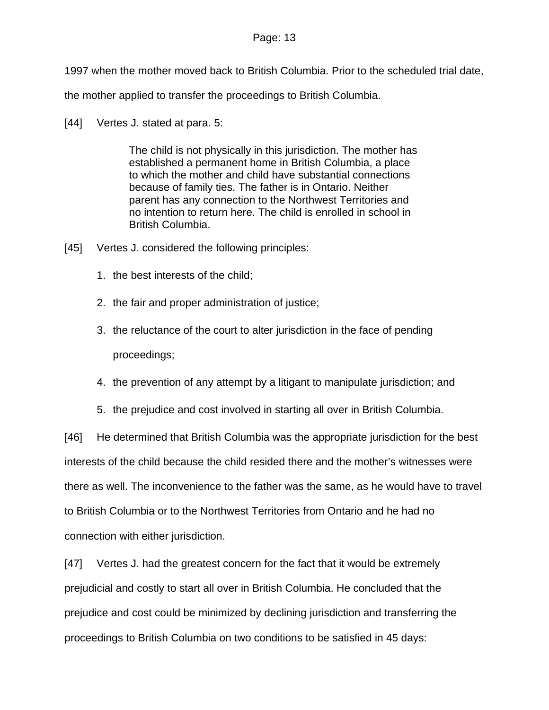#### Page: 13

1997 when the mother moved back to British Columbia. Prior to the scheduled trial date,

the mother applied to transfer the proceedings to British Columbia.

[44] Vertes J. stated at para. 5:

The child is not physically in this jurisdiction. The mother has established a permanent home in British Columbia, a place to which the mother and child have substantial connections because of family ties. The father is in Ontario. Neither parent has any connection to the Northwest Territories and no intention to return here. The child is enrolled in school in British Columbia.

- [45] Vertes J. considered the following principles:
	- 1. the best interests of the child;
	- 2. the fair and proper administration of justice;
	- 3. the reluctance of the court to alter jurisdiction in the face of pending proceedings;
	- 4. the prevention of any attempt by a litigant to manipulate jurisdiction; and
	- 5. the prejudice and cost involved in starting all over in British Columbia.

[46] He determined that British Columbia was the appropriate jurisdiction for the best interests of the child because the child resided there and the mother's witnesses were there as well. The inconvenience to the father was the same, as he would have to travel to British Columbia or to the Northwest Territories from Ontario and he had no connection with either jurisdiction.

[47] Vertes J. had the greatest concern for the fact that it would be extremely prejudicial and costly to start all over in British Columbia. He concluded that the prejudice and cost could be minimized by declining jurisdiction and transferring the proceedings to British Columbia on two conditions to be satisfied in 45 days: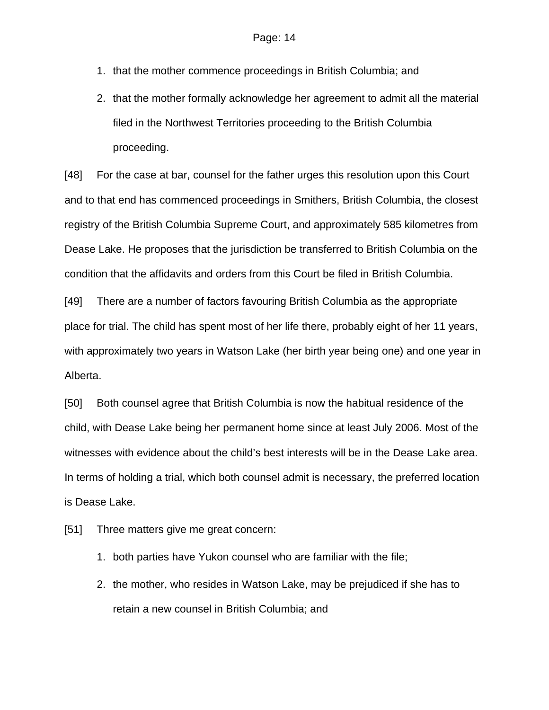- 1. that the mother commence proceedings in British Columbia; and
- 2. that the mother formally acknowledge her agreement to admit all the material filed in the Northwest Territories proceeding to the British Columbia proceeding.

[48] For the case at bar, counsel for the father urges this resolution upon this Court and to that end has commenced proceedings in Smithers, British Columbia, the closest registry of the British Columbia Supreme Court, and approximately 585 kilometres from Dease Lake. He proposes that the jurisdiction be transferred to British Columbia on the condition that the affidavits and orders from this Court be filed in British Columbia.

[49] There are a number of factors favouring British Columbia as the appropriate place for trial. The child has spent most of her life there, probably eight of her 11 years, with approximately two years in Watson Lake (her birth year being one) and one year in Alberta.

[50] Both counsel agree that British Columbia is now the habitual residence of the child, with Dease Lake being her permanent home since at least July 2006. Most of the witnesses with evidence about the child's best interests will be in the Dease Lake area. In terms of holding a trial, which both counsel admit is necessary, the preferred location is Dease Lake.

[51] Three matters give me great concern:

- 1. both parties have Yukon counsel who are familiar with the file;
- 2. the mother, who resides in Watson Lake, may be prejudiced if she has to retain a new counsel in British Columbia; and